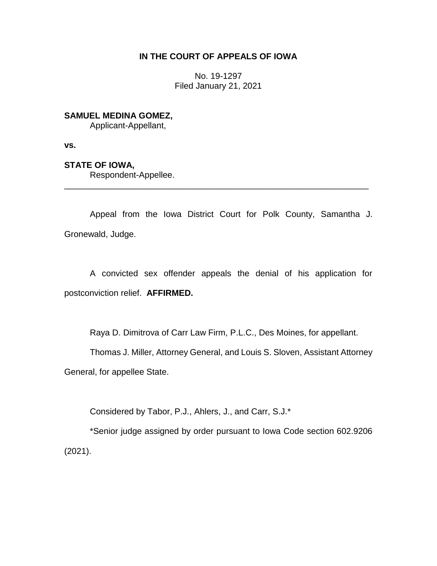# **IN THE COURT OF APPEALS OF IOWA**

No. 19-1297 Filed January 21, 2021

# **SAMUEL MEDINA GOMEZ,**

Applicant-Appellant,

**vs.**

### **STATE OF IOWA,**

Respondent-Appellee.

Appeal from the Iowa District Court for Polk County, Samantha J. Gronewald, Judge.

\_\_\_\_\_\_\_\_\_\_\_\_\_\_\_\_\_\_\_\_\_\_\_\_\_\_\_\_\_\_\_\_\_\_\_\_\_\_\_\_\_\_\_\_\_\_\_\_\_\_\_\_\_\_\_\_\_\_\_\_\_\_\_\_

A convicted sex offender appeals the denial of his application for postconviction relief. **AFFIRMED.**

Raya D. Dimitrova of Carr Law Firm, P.L.C., Des Moines, for appellant.

Thomas J. Miller, Attorney General, and Louis S. Sloven, Assistant Attorney General, for appellee State.

Considered by Tabor, P.J., Ahlers, J., and Carr, S.J.\*

\*Senior judge assigned by order pursuant to Iowa Code section 602.9206 (2021).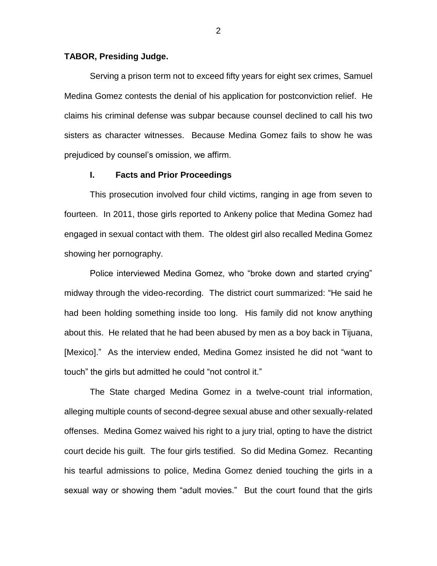### **TABOR, Presiding Judge.**

Serving a prison term not to exceed fifty years for eight sex crimes, Samuel Medina Gomez contests the denial of his application for postconviction relief. He claims his criminal defense was subpar because counsel declined to call his two sisters as character witnesses. Because Medina Gomez fails to show he was prejudiced by counsel's omission, we affirm.

#### **I. Facts and Prior Proceedings**

This prosecution involved four child victims, ranging in age from seven to fourteen. In 2011, those girls reported to Ankeny police that Medina Gomez had engaged in sexual contact with them. The oldest girl also recalled Medina Gomez showing her pornography.

Police interviewed Medina Gomez, who "broke down and started crying" midway through the video-recording. The district court summarized: "He said he had been holding something inside too long. His family did not know anything about this. He related that he had been abused by men as a boy back in Tijuana, [Mexico]." As the interview ended, Medina Gomez insisted he did not "want to touch" the girls but admitted he could "not control it."

The State charged Medina Gomez in a twelve-count trial information, alleging multiple counts of second-degree sexual abuse and other sexually-related offenses. Medina Gomez waived his right to a jury trial, opting to have the district court decide his guilt. The four girls testified. So did Medina Gomez. Recanting his tearful admissions to police, Medina Gomez denied touching the girls in a sexual way or showing them "adult movies." But the court found that the girls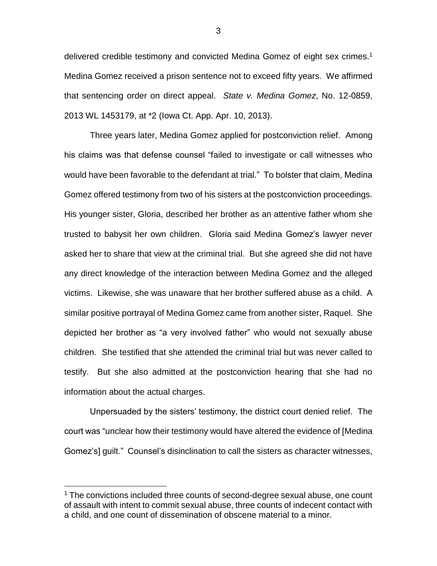delivered credible testimony and convicted Medina Gomez of eight sex crimes.<sup>1</sup> Medina Gomez received a prison sentence not to exceed fifty years. We affirmed that sentencing order on direct appeal. *State v. Medina Gomez*, No. 12-0859, 2013 WL 1453179, at \*2 (Iowa Ct. App. Apr. 10, 2013).

Three years later, Medina Gomez applied for postconviction relief. Among his claims was that defense counsel "failed to investigate or call witnesses who would have been favorable to the defendant at trial." To bolster that claim, Medina Gomez offered testimony from two of his sisters at the postconviction proceedings. His younger sister, Gloria, described her brother as an attentive father whom she trusted to babysit her own children. Gloria said Medina Gomez's lawyer never asked her to share that view at the criminal trial. But she agreed she did not have any direct knowledge of the interaction between Medina Gomez and the alleged victims. Likewise, she was unaware that her brother suffered abuse as a child. A similar positive portrayal of Medina Gomez came from another sister, Raquel. She depicted her brother as "a very involved father" who would not sexually abuse children. She testified that she attended the criminal trial but was never called to testify. But she also admitted at the postconviction hearing that she had no information about the actual charges.

Unpersuaded by the sisters' testimony, the district court denied relief. The court was "unclear how their testimony would have altered the evidence of [Medina Gomez's] guilt." Counsel's disinclination to call the sisters as character witnesses,

 $\overline{a}$ 

<sup>&</sup>lt;sup>1</sup> The convictions included three counts of second-degree sexual abuse, one count of assault with intent to commit sexual abuse, three counts of indecent contact with a child, and one count of dissemination of obscene material to a minor.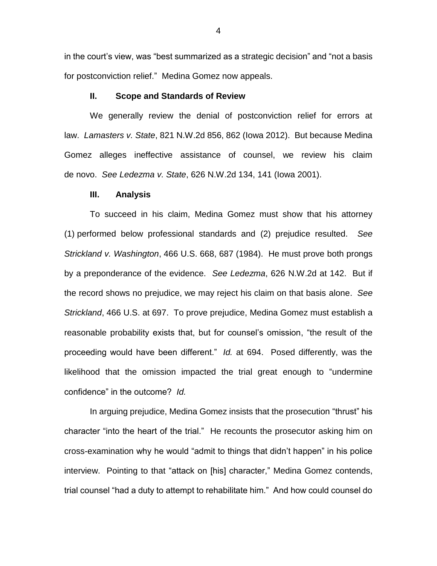in the court's view, was "best summarized as a strategic decision" and "not a basis for postconviction relief." Medina Gomez now appeals.

### **II. Scope and Standards of Review**

We generally review the denial of postconviction relief for errors at law. *Lamasters v. State*, 821 N.W.2d 856, 862 (Iowa 2012). But because Medina Gomez alleges ineffective assistance of counsel, we review his claim de novo. *See Ledezma v. State*, 626 N.W.2d 134, 141 (Iowa 2001).

#### **III. Analysis**

To succeed in his claim, Medina Gomez must show that his attorney (1) performed below professional standards and (2) prejudice resulted. *See Strickland v. Washington*, 466 U.S. 668, 687 (1984). He must prove both prongs by a preponderance of the evidence. *See Ledezma*, 626 N.W.2d at 142. But if the record shows no prejudice, we may reject his claim on that basis alone. *See Strickland*, 466 U.S. at 697. To prove prejudice, Medina Gomez must establish a reasonable probability exists that, but for counsel's omission, "the result of the proceeding would have been different." *Id.* at 694. Posed differently, was the likelihood that the omission impacted the trial great enough to "undermine confidence" in the outcome? *Id.*

In arguing prejudice, Medina Gomez insists that the prosecution "thrust" his character "into the heart of the trial." He recounts the prosecutor asking him on cross-examination why he would "admit to things that didn't happen" in his police interview. Pointing to that "attack on [his] character," Medina Gomez contends, trial counsel "had a duty to attempt to rehabilitate him." And how could counsel do

4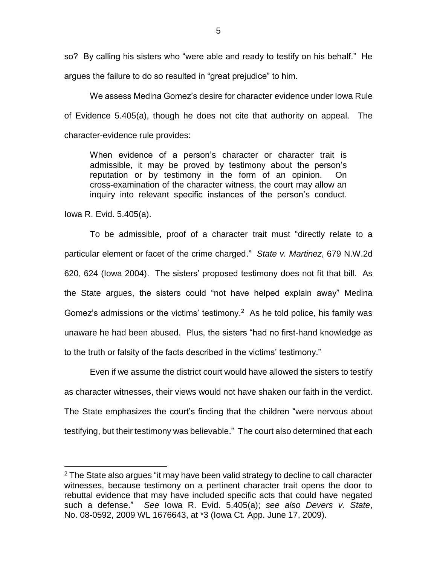so? By calling his sisters who "were able and ready to testify on his behalf." He argues the failure to do so resulted in "great prejudice" to him.

We assess Medina Gomez's desire for character evidence under Iowa Rule of Evidence 5.405(a), though he does not cite that authority on appeal. The character-evidence rule provides:

When evidence of a person's character or character trait is admissible, it may be proved by testimony about the person's reputation or by testimony in the form of an opinion. On cross-examination of the character witness, the court may allow an inquiry into relevant specific instances of the person's conduct.

Iowa R. Evid. 5.405(a).

 $\overline{a}$ 

To be admissible, proof of a character trait must "directly relate to a particular element or facet of the crime charged." *State v. Martinez*, 679 N.W.2d 620, 624 (Iowa 2004). The sisters' proposed testimony does not fit that bill. As the State argues, the sisters could "not have helped explain away" Medina Gomez's admissions or the victims' testimony.<sup>2</sup> As he told police, his family was unaware he had been abused. Plus, the sisters "had no first-hand knowledge as to the truth or falsity of the facts described in the victims' testimony."

Even if we assume the district court would have allowed the sisters to testify as character witnesses, their views would not have shaken our faith in the verdict. The State emphasizes the court's finding that the children "were nervous about testifying, but their testimony was believable." The court also determined that each

 $2$  The State also argues "it may have been valid strategy to decline to call character witnesses, because testimony on a pertinent character trait opens the door to rebuttal evidence that may have included specific acts that could have negated such a defense." *See* Iowa R. Evid. 5.405(a); *see also Devers v. State*, No. 08-0592, 2009 WL 1676643, at \*3 (Iowa Ct. App. June 17, 2009).